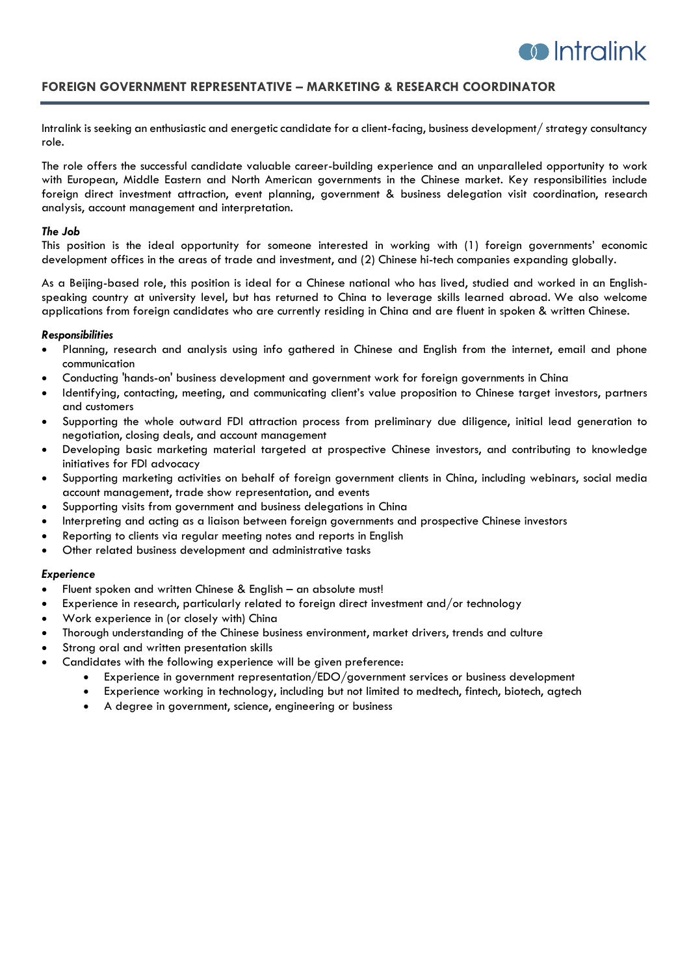

# **FOREIGN GOVERNMENT REPRESENTATIVE – MARKETING & RESEARCH COORDINATOR**

Intralink is seeking an enthusiastic and energetic candidate for a client-facing, business development/ strategy consultancy role.

The role offers the successful candidate valuable career-building experience and an unparalleled opportunity to work with European, Middle Eastern and North American governments in the Chinese market. Key responsibilities include foreign direct investment attraction, event planning, government & business delegation visit coordination, research analysis, account management and interpretation.

#### *The Job*

This position is the ideal opportunity for someone interested in working with (1) foreign governments' economic development offices in the areas of trade and investment, and (2) Chinese hi-tech companies expanding globally.

As a Beijing-based role, this position is ideal for a Chinese national who has lived, studied and worked in an Englishspeaking country at university level, but has returned to China to leverage skills learned abroad. We also welcome applications from foreign candidates who are currently residing in China and are fluent in spoken & written Chinese.

### *Responsibilities*

- Planning, research and analysis using info gathered in Chinese and English from the internet, email and phone communication
- Conducting 'hands-on' business development and government work for foreign governments in China
- Identifying, contacting, meeting, and communicating client's value proposition to Chinese target investors, partners and customers
- Supporting the whole outward FDI attraction process from preliminary due diligence, initial lead generation to negotiation, closing deals, and account management
- Developing basic marketing material targeted at prospective Chinese investors, and contributing to knowledge initiatives for FDI advocacy
- Supporting marketing activities on behalf of foreign government clients in China, including webinars, social media account management, trade show representation, and events
- Supporting visits from government and business delegations in China
- Interpreting and acting as a liaison between foreign governments and prospective Chinese investors
- Reporting to clients via regular meeting notes and reports in English
- Other related business development and administrative tasks

#### *Experience*

- Fluent spoken and written Chinese & English an absolute must!
- Experience in research, particularly related to foreign direct investment and/or technology
- Work experience in (or closely with) China
- Thorough understanding of the Chinese business environment, market drivers, trends and culture
- Strong oral and written presentation skills
- Candidates with the following experience will be given preference:
	- Experience in government representation/EDO/government services or business development
	- Experience working in technology, including but not limited to medtech, fintech, biotech, agtech
	- A degree in government, science, engineering or business